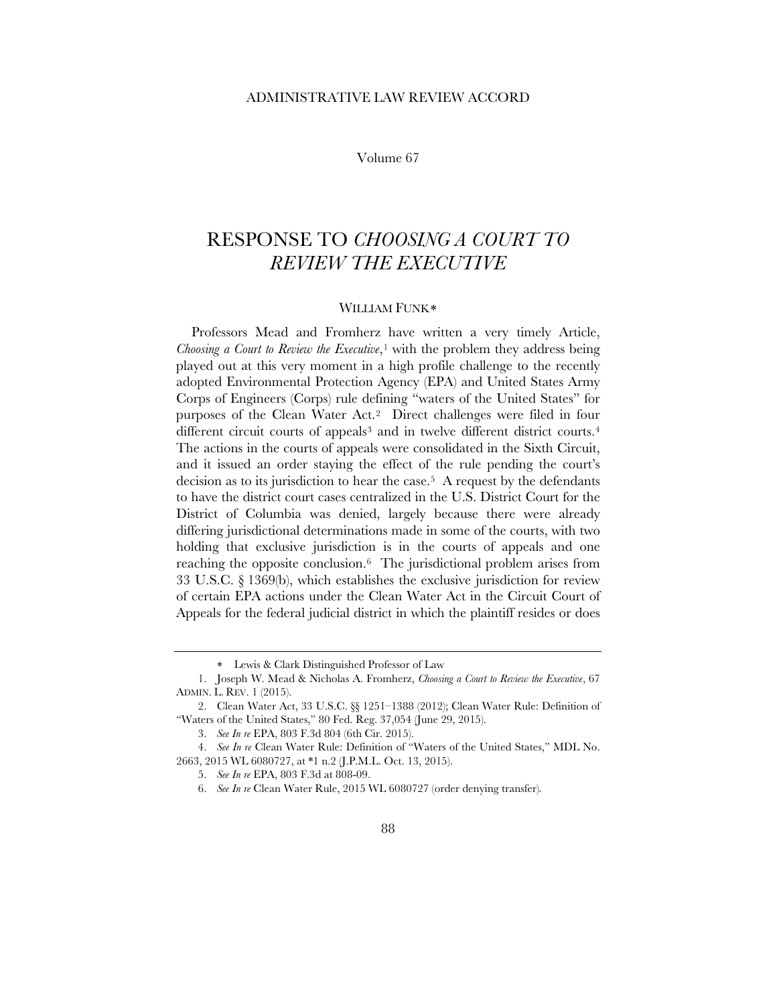## ADMINISTRATIVE LAW REVIEW ACCORD

Volume 67

## RESPONSE TO *CHOOSING A COURT TO REVIEW THE EXECUTIVE*

## <span id="page-0-7"></span>WILLIAM FUNK<sup>\*</sup>

Professors Mead and Fromherz have written a very timely Article, *Choosing a Court to Review the Executive*,<sup>[1](#page-0-1)</sup> with the problem they address being played out at this very moment in a high profile challenge to the recently adopted Environmental Protection Agency (EPA) and United States Army Corps of Engineers (Corps) rule defining "waters of the United States" for purposes of the Clean Water Act.[2](#page-0-2) Direct challenges were filed in four different circuit courts of appeals<sup>[3](#page-0-3)</sup> and in twelve different district courts.<sup>4</sup> The actions in the courts of appeals were consolidated in the Sixth Circuit, and it issued an order staying the effect of the rule pending the court's decision as to its jurisdiction to hear the case[.5](#page-0-5) A request by the defendants to have the district court cases centralized in the U.S. District Court for the District of Columbia was denied, largely because there were already differing jurisdictional determinations made in some of the courts, with two holding that exclusive jurisdiction is in the courts of appeals and one reaching the opposite conclusion.[6](#page-0-6) The jurisdictional problem arises from 33 U.S.C. § 1369(b), which establishes the exclusive jurisdiction for review of certain EPA actions under the Clean Water Act in the Circuit Court of Appeals for the federal judicial district in which the plaintiff resides or does

<sup>∗</sup> Lewis & Clark Distinguished Professor of Law

<span id="page-0-1"></span><span id="page-0-0"></span><sup>1.</sup> Joseph W. Mead & Nicholas A. Fromherz, *Choosing a Court to Review the Executive*, 67 ADMIN. L. REV. 1 (2015).

<span id="page-0-2"></span><sup>2.</sup> Clean Water Act, 33 U.S.C. §§ 1251–1388 (2012); Clean Water Rule: Definition of "Waters of the United States," 80 Fed. Reg. 37,054 (June 29, 2015).

<sup>3.</sup> *See In re* EPA, 803 F.3d 804 (6th Cir. 2015).

<span id="page-0-6"></span><span id="page-0-5"></span><span id="page-0-4"></span><span id="page-0-3"></span><sup>4.</sup> *See In re* Clean Water Rule: Definition of "Waters of the United States," MDL No. 2663, 2015 WL 6080727, at \*1 n.2 (J.P.M.L. Oct. 13, 2015).

<sup>5.</sup> *See In re* EPA, 803 F.3d at 808-09.

<sup>6.</sup> *See In re* Clean Water Rule, 2015 WL 6080727 (order denying transfer)*.*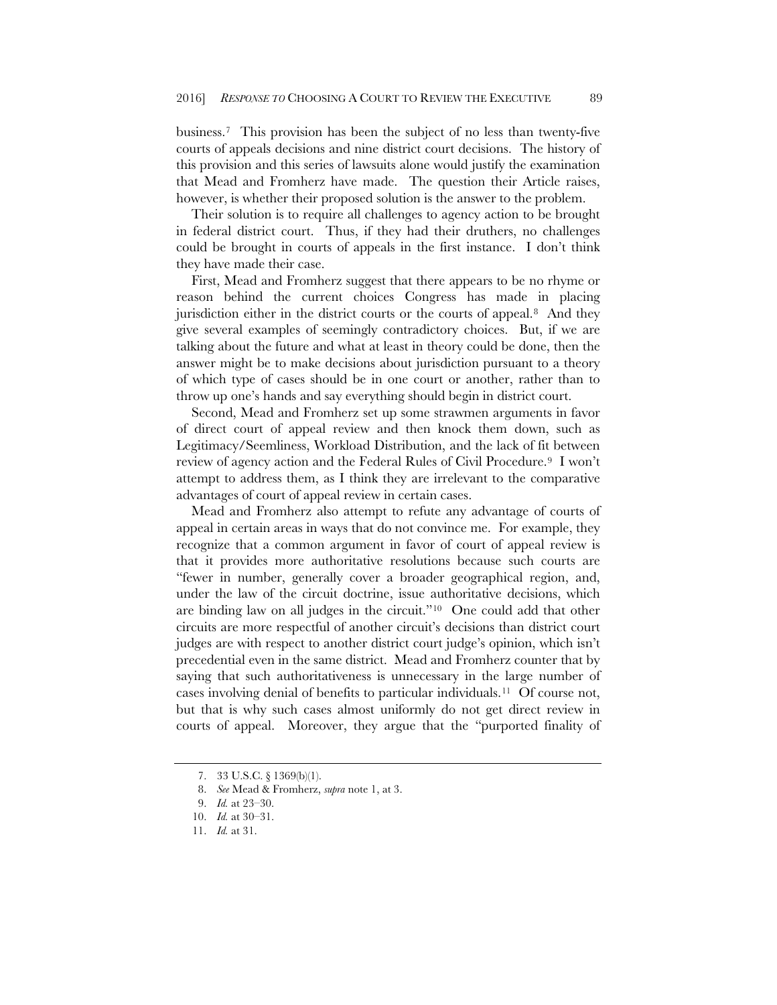business.[7](#page-1-0) This provision has been the subject of no less than twenty-five courts of appeals decisions and nine district court decisions. The history of this provision and this series of lawsuits alone would justify the examination that Mead and Fromherz have made. The question their Article raises, however, is whether their proposed solution is the answer to the problem.

Their solution is to require all challenges to agency action to be brought in federal district court. Thus, if they had their druthers, no challenges could be brought in courts of appeals in the first instance. I don't think they have made their case.

First, Mead and Fromherz suggest that there appears to be no rhyme or reason behind the current choices Congress has made in placing jurisdiction either in the district courts or the courts of appeal.<sup>[8](#page-1-1)</sup> And they give several examples of seemingly contradictory choices. But, if we are talking about the future and what at least in theory could be done, then the answer might be to make decisions about jurisdiction pursuant to a theory of which type of cases should be in one court or another, rather than to throw up one's hands and say everything should begin in district court.

Second, Mead and Fromherz set up some strawmen arguments in favor of direct court of appeal review and then knock them down, such as Legitimacy/Seemliness, Workload Distribution, and the lack of fit between review of agency action and the Federal Rules of Civil Procedure.[9](#page-1-2) I won't attempt to address them, as I think they are irrelevant to the comparative advantages of court of appeal review in certain cases.

Mead and Fromherz also attempt to refute any advantage of courts of appeal in certain areas in ways that do not convince me. For example, they recognize that a common argument in favor of court of appeal review is that it provides more authoritative resolutions because such courts are "fewer in number, generally cover a broader geographical region, and, under the law of the circuit doctrine, issue authoritative decisions, which are binding law on all judges in the circuit."[10](#page-1-3) One could add that other circuits are more respectful of another circuit's decisions than district court judges are with respect to another district court judge's opinion, which isn't precedential even in the same district. Mead and Fromherz counter that by saying that such authoritativeness is unnecessary in the large number of cases involving denial of benefits to particular individuals.[11](#page-1-4) Of course not, but that is why such cases almost uniformly do not get direct review in courts of appeal. Moreover, they argue that the "purported finality of

<sup>7.</sup> 33 U.S.C. § 1369(b)(1).

<sup>8.</sup> *See* Mead & Fromherz, *supra* not[e 1,](#page-0-7) at 3.

<span id="page-1-3"></span><span id="page-1-2"></span><span id="page-1-1"></span><span id="page-1-0"></span><sup>9.</sup> *Id.* at 23–30.

<sup>10.</sup> *Id.* at 30–31.

<span id="page-1-4"></span><sup>11.</sup> *Id.* at 31.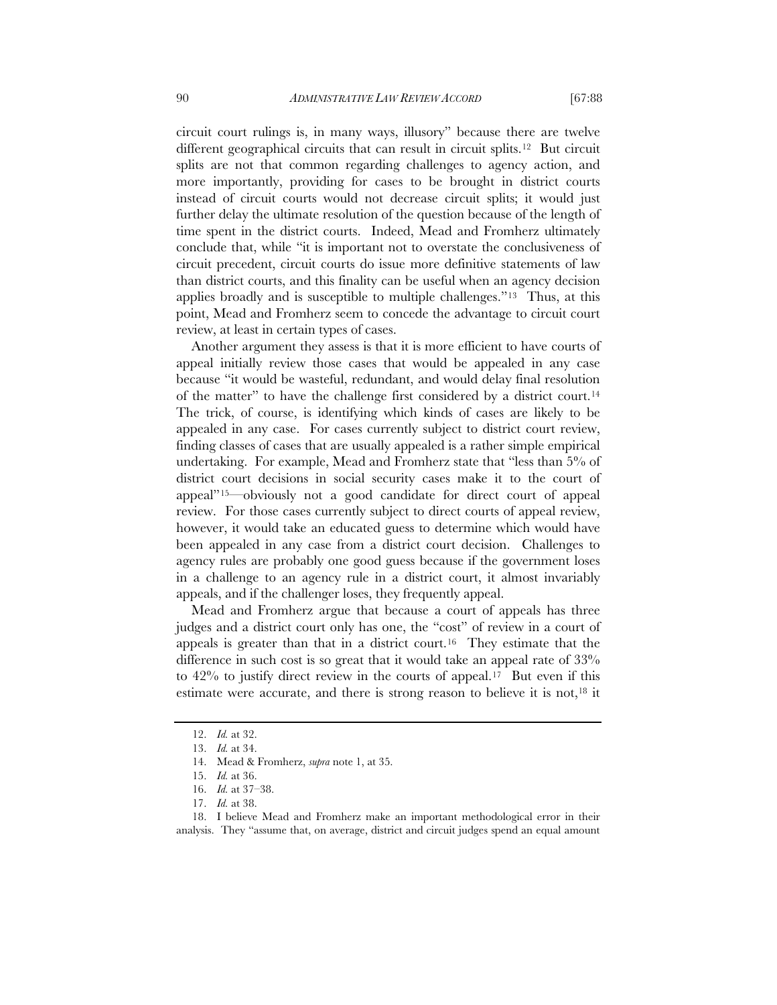circuit court rulings is, in many ways, illusory" because there are twelve different geographical circuits that can result in circuit splits.[12](#page-2-0) But circuit splits are not that common regarding challenges to agency action, and more importantly, providing for cases to be brought in district courts instead of circuit courts would not decrease circuit splits; it would just further delay the ultimate resolution of the question because of the length of time spent in the district courts. Indeed, Mead and Fromherz ultimately conclude that, while "it is important not to overstate the conclusiveness of circuit precedent, circuit courts do issue more definitive statements of law than district courts, and this finality can be useful when an agency decision applies broadly and is susceptible to multiple challenges.["13](#page-2-1) Thus, at this point, Mead and Fromherz seem to concede the advantage to circuit court review, at least in certain types of cases.

Another argument they assess is that it is more efficient to have courts of appeal initially review those cases that would be appealed in any case because "it would be wasteful, redundant, and would delay final resolution of the matter" to have the challenge first considered by a district court.[14](#page-2-2)  The trick, of course, is identifying which kinds of cases are likely to be appealed in any case. For cases currently subject to district court review, finding classes of cases that are usually appealed is a rather simple empirical undertaking. For example, Mead and Fromherz state that "less than 5% of district court decisions in social security cases make it to the court of appeal"[15—](#page-2-3)obviously not a good candidate for direct court of appeal review. For those cases currently subject to direct courts of appeal review, however, it would take an educated guess to determine which would have been appealed in any case from a district court decision. Challenges to agency rules are probably one good guess because if the government loses in a challenge to an agency rule in a district court, it almost invariably appeals, and if the challenger loses, they frequently appeal.

Mead and Fromherz argue that because a court of appeals has three judges and a district court only has one, the "cost" of review in a court of appeals is greater than that in a district court.[16](#page-2-4) They estimate that the difference in such cost is so great that it would take an appeal rate of  $33\%$ to 42% to justify direct review in the courts of appeal.[17](#page-2-5) But even if this estimate were accurate, and there is strong reason to believe it is not,<sup>[18](#page-2-6)</sup> it

<span id="page-2-0"></span><sup>12.</sup> *Id.* at 32.

<sup>13.</sup> *Id.* at 34.

<sup>14.</sup> Mead & Fromherz, *supra* not[e 1,](#page-0-7) at 35.

<sup>15.</sup> *Id.* at 36.

<sup>16.</sup> *Id.* at 37–38.

<sup>17.</sup> *Id.* at 38.

<span id="page-2-6"></span><span id="page-2-5"></span><span id="page-2-4"></span><span id="page-2-3"></span><span id="page-2-2"></span><span id="page-2-1"></span><sup>18.</sup> I believe Mead and Fromherz make an important methodological error in their analysis. They "assume that, on average, district and circuit judges spend an equal amount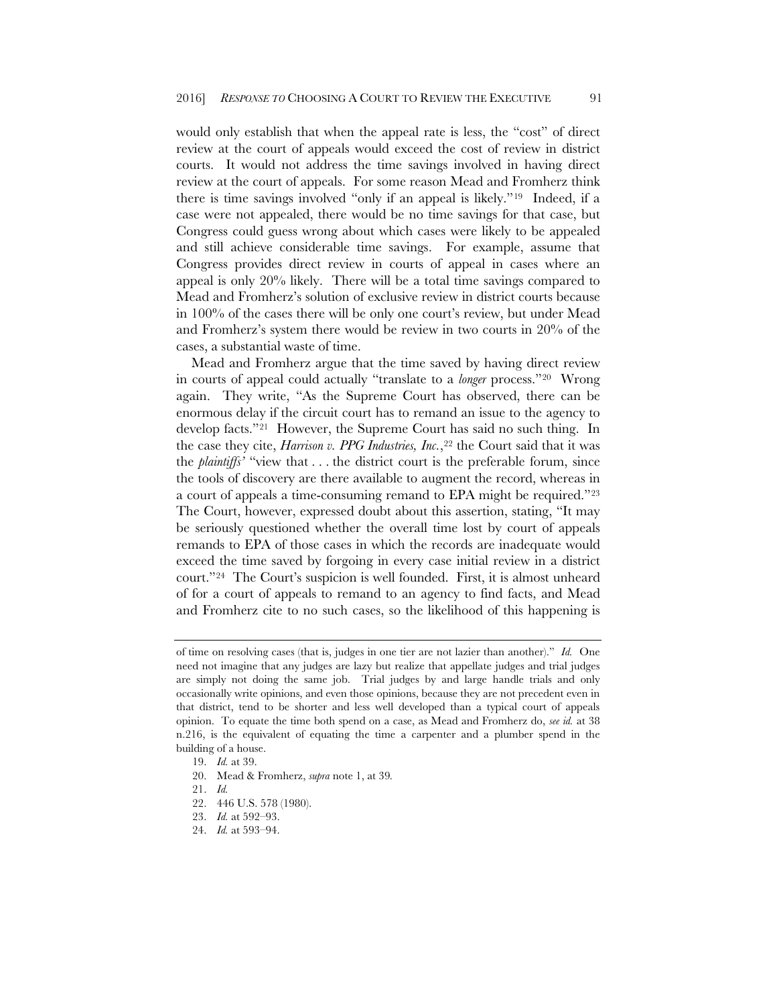would only establish that when the appeal rate is less, the "cost" of direct review at the court of appeals would exceed the cost of review in district courts. It would not address the time savings involved in having direct review at the court of appeals. For some reason Mead and Fromherz think there is time savings involved "only if an appeal is likely."[19](#page-3-0) Indeed, if a case were not appealed, there would be no time savings for that case, but Congress could guess wrong about which cases were likely to be appealed and still achieve considerable time savings. For example, assume that Congress provides direct review in courts of appeal in cases where an appeal is only 20% likely. There will be a total time savings compared to Mead and Fromherz's solution of exclusive review in district courts because in 100% of the cases there will be only one court's review, but under Mead and Fromherz's system there would be review in two courts in 20% of the cases, a substantial waste of time.

Mead and Fromherz argue that the time saved by having direct review in courts of appeal could actually "translate to a *longer* process.["20](#page-3-1) Wrong again. They write, "As the Supreme Court has observed, there can be enormous delay if the circuit court has to remand an issue to the agency to develop facts.["21](#page-3-2) However, the Supreme Court has said no such thing. In the case they cite, *Harrison v. PPG Industries*, *Inc.*,<sup>[22](#page-3-3)</sup> the Court said that it was the *plaintiffs'* "view that . . . the district court is the preferable forum, since the tools of discovery are there available to augment the record, whereas in a court of appeals a time-consuming remand to EPA might be required."[23](#page-3-4)  The Court, however, expressed doubt about this assertion, stating, "It may be seriously questioned whether the overall time lost by court of appeals remands to EPA of those cases in which the records are inadequate would exceed the time saved by forgoing in every case initial review in a district court.["24](#page-3-5) The Court's suspicion is well founded. First, it is almost unheard of for a court of appeals to remand to an agency to find facts, and Mead and Fromherz cite to no such cases, so the likelihood of this happening is

of time on resolving cases (that is, judges in one tier are not lazier than another)." *Id.* One need not imagine that any judges are lazy but realize that appellate judges and trial judges are simply not doing the same job. Trial judges by and large handle trials and only occasionally write opinions, and even those opinions, because they are not precedent even in that district, tend to be shorter and less well developed than a typical court of appeals opinion. To equate the time both spend on a case, as Mead and Fromherz do, *see id.* at 38 n.216, is the equivalent of equating the time a carpenter and a plumber spend in the building of a house.

<span id="page-3-0"></span><sup>19.</sup> *Id.* at 39.

<span id="page-3-1"></span><sup>20.</sup> Mead & Fromherz, *supra* not[e 1,](#page-0-7) at 39*.*

<span id="page-3-2"></span><sup>21.</sup> *Id.*

<span id="page-3-3"></span><sup>22.</sup> 446 U.S. 578 (1980).

<span id="page-3-4"></span><sup>23.</sup> *Id.* at 592–93.

<span id="page-3-5"></span><sup>24.</sup> *Id.* at 593–94.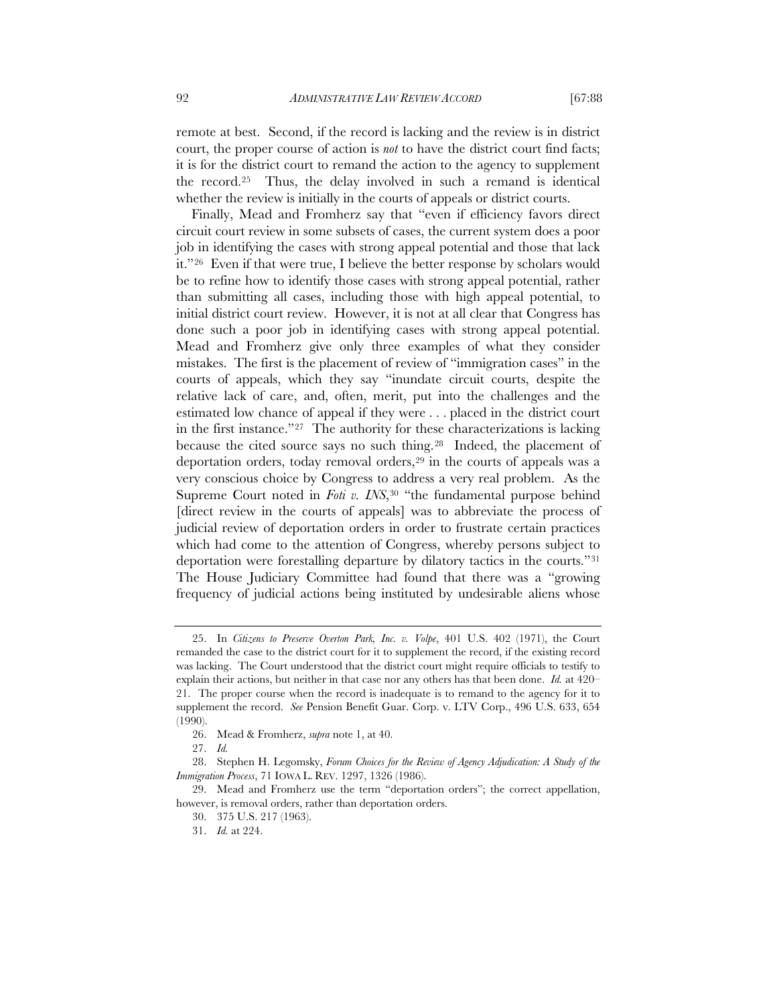remote at best. Second, if the record is lacking and the review is in district court, the proper course of action is *not* to have the district court find facts; it is for the district court to remand the action to the agency to supplement the record.[25](#page-4-0) Thus, the delay involved in such a remand is identical whether the review is initially in the courts of appeals or district courts.

Finally, Mead and Fromherz say that "even if efficiency favors direct circuit court review in some subsets of cases, the current system does a poor job in identifying the cases with strong appeal potential and those that lack it."[26](#page-4-1) Even if that were true, I believe the better response by scholars would be to refine how to identify those cases with strong appeal potential, rather than submitting all cases, including those with high appeal potential, to initial district court review. However, it is not at all clear that Congress has done such a poor job in identifying cases with strong appeal potential. Mead and Fromherz give only three examples of what they consider mistakes. The first is the placement of review of "immigration cases" in the courts of appeals, which they say "inundate circuit courts, despite the relative lack of care, and, often, merit, put into the challenges and the estimated low chance of appeal if they were . . . placed in the district court in the first instance.["27](#page-4-2) The authority for these characterizations is lacking because the cited source says no such thing.[28](#page-4-3) Indeed, the placement of deportation orders, today removal orders,<sup>[29](#page-4-4)</sup> in the courts of appeals was a very conscious choice by Congress to address a very real problem. As the Supreme Court noted in *Foti v. INS*,<sup>[30](#page-4-5)</sup> "the fundamental purpose behind [direct review in the courts of appeals] was to abbreviate the process of judicial review of deportation orders in order to frustrate certain practices which had come to the attention of Congress, whereby persons subject to deportation were forestalling departure by dilatory tactics in the courts."[31](#page-4-6)  The House Judiciary Committee had found that there was a "growing frequency of judicial actions being instituted by undesirable aliens whose

<span id="page-4-0"></span><sup>25.</sup> In *Citizens to Preserve Overton Park, Inc. v. Volpe*, 401 U.S. 402 (1971), the Court remanded the case to the district court for it to supplement the record, if the existing record was lacking. The Court understood that the district court might require officials to testify to explain their actions, but neither in that case nor any others has that been done. *Id.* at 420– 21. The proper course when the record is inadequate is to remand to the agency for it to supplement the record. *See* Pension Benefit Guar. Corp. v. LTV Corp., 496 U.S. 633, 654 (1990).

<sup>26.</sup> Mead & Fromherz, *supra* not[e 1,](#page-0-7) at 40.

<sup>27.</sup> *Id.*

<span id="page-4-3"></span><span id="page-4-2"></span><span id="page-4-1"></span><sup>28.</sup> Stephen H. Legomsky, *Forum Choices for the Review of Agency Adjudication: A Study of the Immigration Process*, 71 IOWA L. REV. 1297, 1326 (1986).

<span id="page-4-6"></span><span id="page-4-5"></span><span id="page-4-4"></span><sup>29.</sup> Mead and Fromherz use the term "deportation orders"; the correct appellation, however, is removal orders, rather than deportation orders.

<sup>30.</sup> 375 U.S. 217 (1963).

<sup>31.</sup> *Id.* at 224.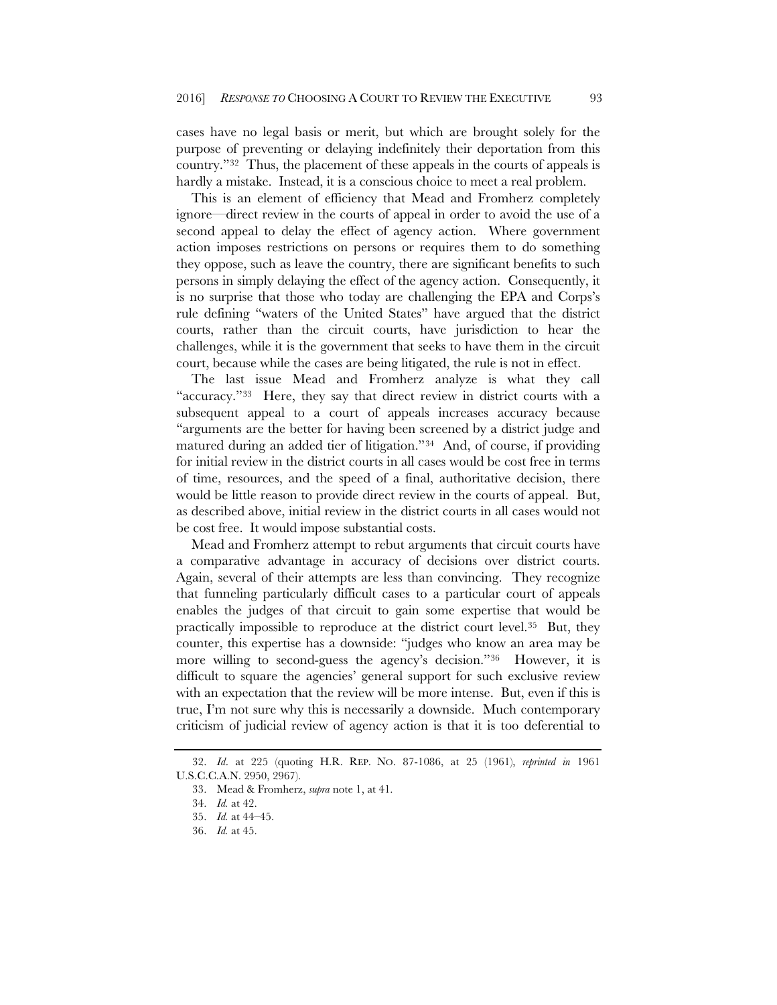cases have no legal basis or merit, but which are brought solely for the purpose of preventing or delaying indefinitely their deportation from this country."[32](#page-5-0) Thus, the placement of these appeals in the courts of appeals is hardly a mistake. Instead, it is a conscious choice to meet a real problem.

This is an element of efficiency that Mead and Fromherz completely ignore—direct review in the courts of appeal in order to avoid the use of a second appeal to delay the effect of agency action. Where government action imposes restrictions on persons or requires them to do something they oppose, such as leave the country, there are significant benefits to such persons in simply delaying the effect of the agency action. Consequently, it is no surprise that those who today are challenging the EPA and Corps's rule defining "waters of the United States" have argued that the district courts, rather than the circuit courts, have jurisdiction to hear the challenges, while it is the government that seeks to have them in the circuit court, because while the cases are being litigated, the rule is not in effect.

The last issue Mead and Fromherz analyze is what they call "accuracy."[33](#page-5-1) Here, they say that direct review in district courts with a subsequent appeal to a court of appeals increases accuracy because "arguments are the better for having been screened by a district judge and matured during an added tier of litigation."[34](#page-5-2) And, of course, if providing for initial review in the district courts in all cases would be cost free in terms of time, resources, and the speed of a final, authoritative decision, there would be little reason to provide direct review in the courts of appeal. But, as described above, initial review in the district courts in all cases would not be cost free. It would impose substantial costs.

Mead and Fromherz attempt to rebut arguments that circuit courts have a comparative advantage in accuracy of decisions over district courts. Again, several of their attempts are less than convincing. They recognize that funneling particularly difficult cases to a particular court of appeals enables the judges of that circuit to gain some expertise that would be practically impossible to reproduce at the district court level.[35](#page-5-3) But, they counter, this expertise has a downside: "judges who know an area may be more willing to second-guess the agency's decision."[36](#page-5-4) However, it is difficult to square the agencies' general support for such exclusive review with an expectation that the review will be more intense. But, even if this is true, I'm not sure why this is necessarily a downside. Much contemporary criticism of judicial review of agency action is that it is too deferential to

<span id="page-5-4"></span><span id="page-5-3"></span><span id="page-5-2"></span><span id="page-5-1"></span><span id="page-5-0"></span><sup>32.</sup> *Id*. at 225 (quoting H.R. REP. NO. 87-1086, at 25 (1961), *reprinted in* 1961 U.S.C.C.A.N. 2950, 2967).

<sup>33.</sup> Mead & Fromherz, *supra* not[e 1,](#page-0-7) at 41.

<sup>34.</sup> *Id.* at 42.

<sup>35.</sup> *Id.* at 44–45.

<sup>36.</sup> *Id.* at 45.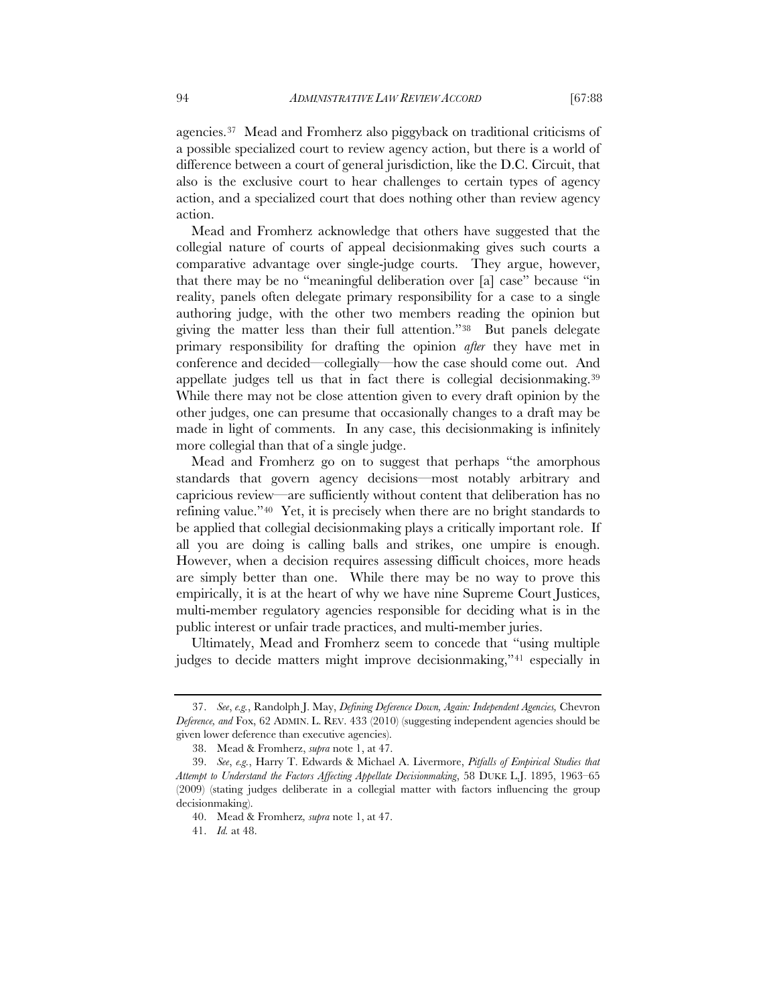agencies.[37](#page-6-0) Mead and Fromherz also piggyback on traditional criticisms of a possible specialized court to review agency action, but there is a world of difference between a court of general jurisdiction, like the D.C. Circuit, that also is the exclusive court to hear challenges to certain types of agency action, and a specialized court that does nothing other than review agency action.

Mead and Fromherz acknowledge that others have suggested that the collegial nature of courts of appeal decisionmaking gives such courts a comparative advantage over single-judge courts. They argue, however, that there may be no "meaningful deliberation over [a] case" because "in reality, panels often delegate primary responsibility for a case to a single authoring judge, with the other two members reading the opinion but giving the matter less than their full attention."[38](#page-6-1) But panels delegate primary responsibility for drafting the opinion *after* they have met in conference and decided—collegially—how the case should come out. And appellate judges tell us that in fact there is collegial decisionmaking.[39](#page-6-2)  While there may not be close attention given to every draft opinion by the other judges, one can presume that occasionally changes to a draft may be made in light of comments. In any case, this decisionmaking is infinitely more collegial than that of a single judge.

Mead and Fromherz go on to suggest that perhaps "the amorphous standards that govern agency decisions—most notably arbitrary and capricious review—are sufficiently without content that deliberation has no refining value."[40](#page-6-3) Yet, it is precisely when there are no bright standards to be applied that collegial decisionmaking plays a critically important role. If all you are doing is calling balls and strikes, one umpire is enough. However, when a decision requires assessing difficult choices, more heads are simply better than one. While there may be no way to prove this empirically, it is at the heart of why we have nine Supreme Court Justices, multi-member regulatory agencies responsible for deciding what is in the public interest or unfair trade practices, and multi-member juries.

Ultimately, Mead and Fromherz seem to concede that "using multiple judges to decide matters might improve decisionmaking,"[41](#page-6-4) especially in

<span id="page-6-0"></span><sup>37.</sup> *See*, *e.g.*, Randolph J. May, *Defining Deference Down, Again: Independent Agencies,* Chevron *Deference, and* Fox, 62 ADMIN. L. REV. 433 (2010) (suggesting independent agencies should be given lower deference than executive agencies).

<sup>38.</sup> Mead & Fromherz, *supra* not[e 1,](#page-0-7) at 47.

<span id="page-6-4"></span><span id="page-6-3"></span><span id="page-6-2"></span><span id="page-6-1"></span><sup>39.</sup> *See*, *e.g.*, Harry T. Edwards & Michael A. Livermore, *Pitfalls of Empirical Studies that Attempt to Understand the Factors Affecting Appellate Decisionmaking*, 58 DUKE L.J. 1895, 1963–65 (2009) (stating judges deliberate in a collegial matter with factors influencing the group decisionmaking).

<sup>40.</sup> Mead & Fromherz*, supra* not[e 1,](#page-0-7) at 47.

<sup>41.</sup> *Id.* at 48.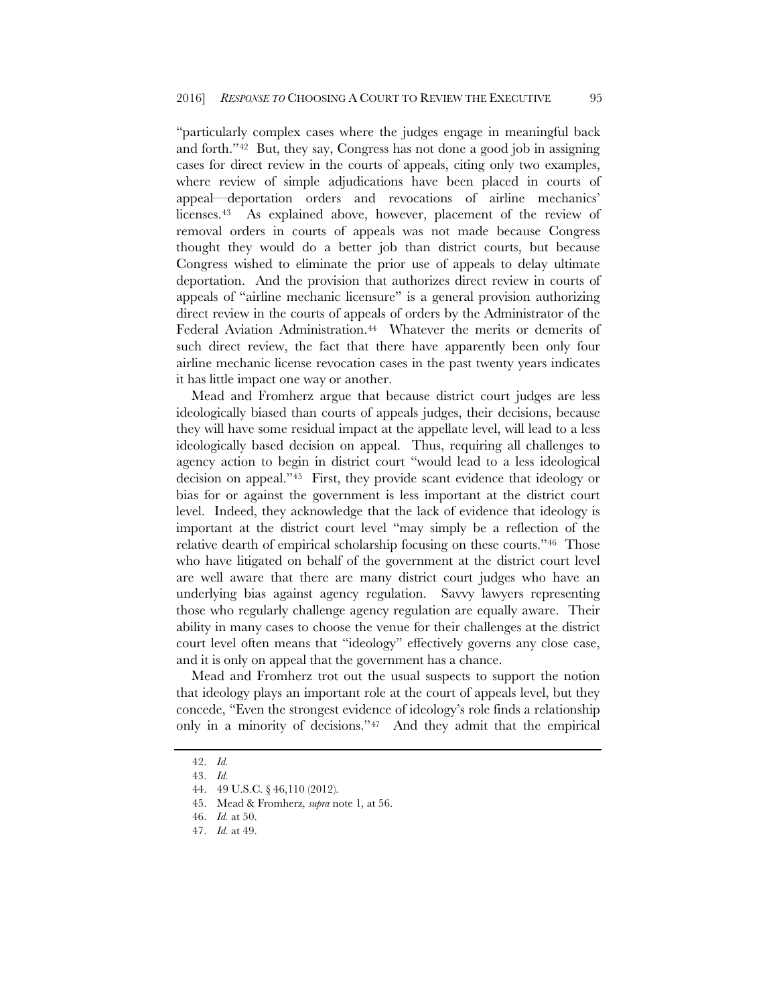"particularly complex cases where the judges engage in meaningful back and forth."[42](#page-7-0) But, they say, Congress has not done a good job in assigning cases for direct review in the courts of appeals, citing only two examples, where review of simple adjudications have been placed in courts of appeal—deportation orders and revocations of airline mechanics' licenses.[43](#page-7-1) As explained above, however, placement of the review of removal orders in courts of appeals was not made because Congress thought they would do a better job than district courts, but because Congress wished to eliminate the prior use of appeals to delay ultimate deportation. And the provision that authorizes direct review in courts of appeals of "airline mechanic licensure" is a general provision authorizing direct review in the courts of appeals of orders by the Administrator of the Federal Aviation Administration.<sup>[44](#page-7-2)</sup> Whatever the merits or demerits of such direct review, the fact that there have apparently been only four airline mechanic license revocation cases in the past twenty years indicates it has little impact one way or another.

Mead and Fromherz argue that because district court judges are less ideologically biased than courts of appeals judges, their decisions, because they will have some residual impact at the appellate level, will lead to a less ideologically based decision on appeal. Thus, requiring all challenges to agency action to begin in district court "would lead to a less ideological decision on appeal."[45](#page-7-3) First, they provide scant evidence that ideology or bias for or against the government is less important at the district court level. Indeed, they acknowledge that the lack of evidence that ideology is important at the district court level "may simply be a reflection of the relative dearth of empirical scholarship focusing on these courts."[46](#page-7-4) Those who have litigated on behalf of the government at the district court level are well aware that there are many district court judges who have an underlying bias against agency regulation. Savvy lawyers representing those who regularly challenge agency regulation are equally aware. Their ability in many cases to choose the venue for their challenges at the district court level often means that "ideology" effectively governs any close case, and it is only on appeal that the government has a chance.

Mead and Fromherz trot out the usual suspects to support the notion that ideology plays an important role at the court of appeals level, but they concede, "Even the strongest evidence of ideology's role finds a relationship only in a minority of decisions."[47](#page-7-5) And they admit that the empirical

<span id="page-7-0"></span><sup>42.</sup> *Id.*

<span id="page-7-2"></span><span id="page-7-1"></span><sup>43.</sup> *Id.*

<sup>44.</sup> 49 U.S.C. § 46,110 (2012).

<span id="page-7-3"></span><sup>45.</sup> Mead & Fromherz*, supra* not[e 1](#page-0-7)*,* at 56.

<span id="page-7-4"></span><sup>46.</sup> *Id.* at 50.

<span id="page-7-5"></span><sup>47.</sup> *Id.* at 49.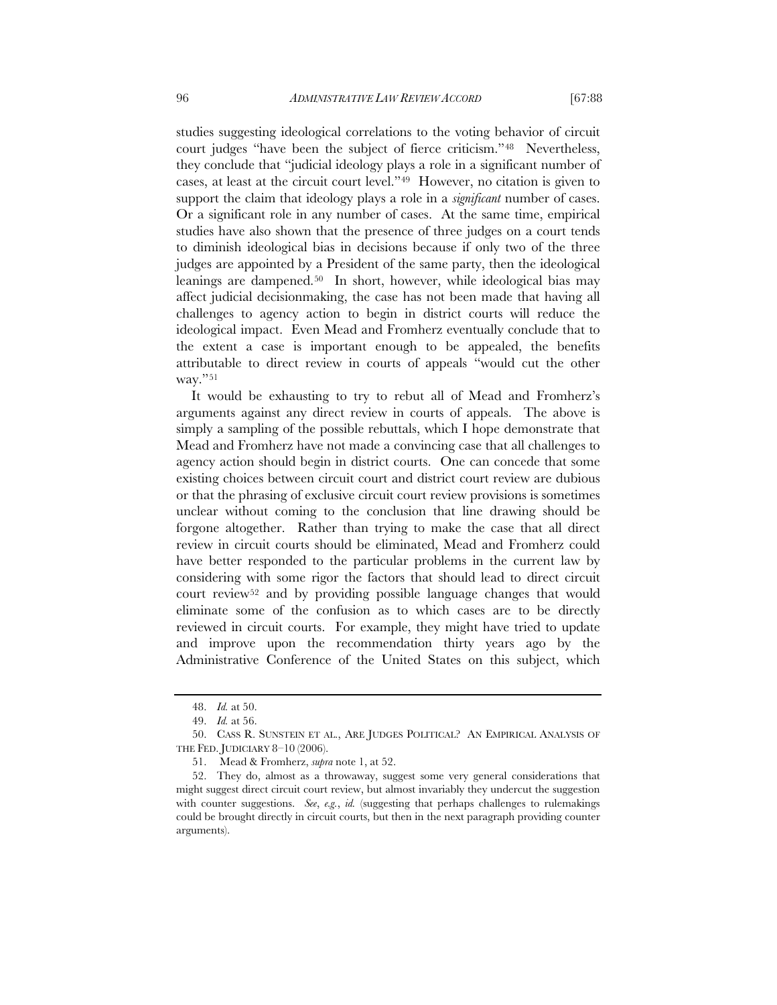studies suggesting ideological correlations to the voting behavior of circuit court judges "have been the subject of fierce criticism."[48](#page-8-0) Nevertheless, they conclude that "judicial ideology plays a role in a significant number of cases, at least at the circuit court level."[49](#page-8-1) However, no citation is given to support the claim that ideology plays a role in a *significant* number of cases. Or a significant role in any number of cases. At the same time, empirical studies have also shown that the presence of three judges on a court tends to diminish ideological bias in decisions because if only two of the three judges are appointed by a President of the same party, then the ideological leanings are dampened.[50](#page-8-2) In short, however, while ideological bias may affect judicial decisionmaking, the case has not been made that having all challenges to agency action to begin in district courts will reduce the ideological impact. Even Mead and Fromherz eventually conclude that to the extent a case is important enough to be appealed, the benefits attributable to direct review in courts of appeals "would cut the other way."[51](#page-8-3)

It would be exhausting to try to rebut all of Mead and Fromherz's arguments against any direct review in courts of appeals. The above is simply a sampling of the possible rebuttals, which I hope demonstrate that Mead and Fromherz have not made a convincing case that all challenges to agency action should begin in district courts. One can concede that some existing choices between circuit court and district court review are dubious or that the phrasing of exclusive circuit court review provisions is sometimes unclear without coming to the conclusion that line drawing should be forgone altogether. Rather than trying to make the case that all direct review in circuit courts should be eliminated, Mead and Fromherz could have better responded to the particular problems in the current law by considering with some rigor the factors that should lead to direct circuit court review[52](#page-8-4) and by providing possible language changes that would eliminate some of the confusion as to which cases are to be directly reviewed in circuit courts. For example, they might have tried to update and improve upon the recommendation thirty years ago by the Administrative Conference of the United States on this subject, which

<sup>48.</sup> *Id.* at 50.

<sup>49.</sup> *Id.* at 56.

<span id="page-8-2"></span><span id="page-8-1"></span><span id="page-8-0"></span><sup>50.</sup> CASS R. SUNSTEIN ET AL., ARE JUDGES POLITICAL? AN EMPIRICAL ANALYSIS OF THE FED. JUDICIARY 8–10 (2006).

<sup>51.</sup> Mead & Fromherz, *supra* not[e 1,](#page-0-7) at 52.

<span id="page-8-4"></span><span id="page-8-3"></span><sup>52.</sup> They do, almost as a throwaway, suggest some very general considerations that might suggest direct circuit court review, but almost invariably they undercut the suggestion with counter suggestions. *See*, *e.g.*, *id.* (suggesting that perhaps challenges to rulemakings could be brought directly in circuit courts, but then in the next paragraph providing counter arguments).